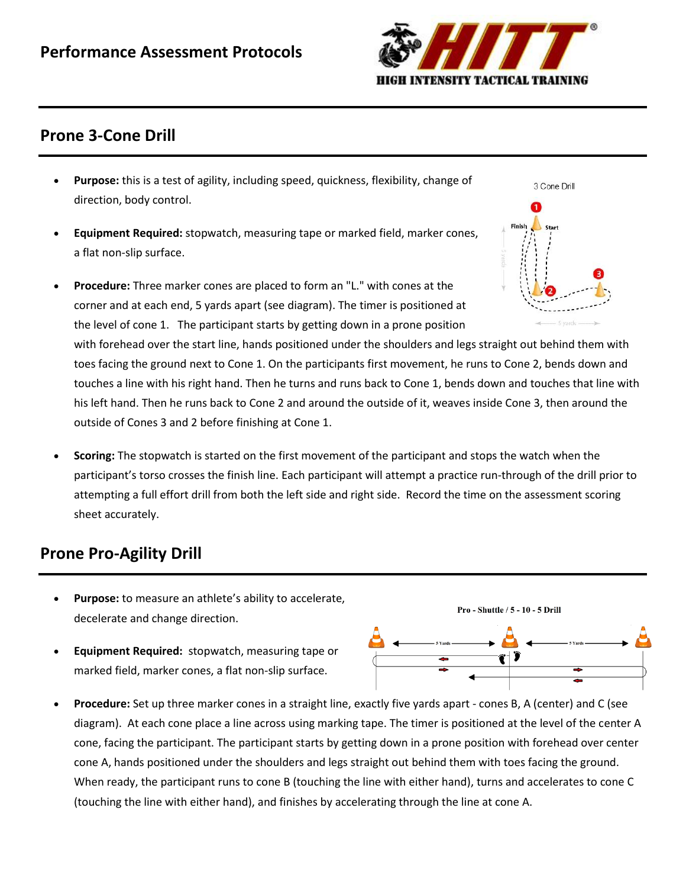

# **Prone 3-Cone Drill**

- **Purpose:** this is a test of agility, including speed, quickness, flexibility, change of direction, body control.
- **Equipment Required:** [stopwatch,](http://www.topendsports.com/resources/stores.htm?node=28&cat=Stopwatches) [measuring tape](http://www.topendsports.com/resources/stores.htm?node=30&cat=Tape%20Measures) or marked field[, marker cones,](http://www.topendsports.com/resources/stores.htm?node=29&cat=Cones) a flat non-slip surface.
	- **Procedure:** Three marker cones are placed to form an "L." with cones at the corner and at each end, 5 yards apart (see diagram). The timer is positioned at the level of cone 1. The participant starts by getting down in a prone position with forehead over the start line, hands positioned under the shoulders and legs straight out behind them with toes facing the ground next to Cone 1. On the participants first movement, he runs to Cone 2, bends down and touches a line with his right hand. Then he turns and runs back to Cone 1, bends down and touches that line with his left hand. Then he runs back to Cone 2 and around the outside of it, weaves inside Cone 3, then around the outside of Cones 3 and 2 before finishing at Cone 1.
- **Scoring:** The stopwatch is started on the first movement of the participant and stops the watch when the participant's torso crosses the finish line. Each participant will attempt a practice run-through of the drill prior to attempting a full effort drill from both the left side and right side. Record the time on the assessment scoring sheet accurately.

# **Prone Pro-Agility Drill**

- **Purpose:** to measure an athlete's ability to accelerate, decelerate and change direction.
- **Equipment Required:** [stopwatch,](http://www.topendsports.com/resources/stores.htm?node=28&cat=Stopwatches) [measuring tape](http://www.topendsports.com/resources/stores.htm?node=30&cat=Tape%20Measures) or marked field[, marker cones,](http://www.topendsports.com/resources/stores.htm?node=29&cat=Cones) a flat non-slip surface.





Pro - Shuttle / 5 - 10 - 5 Drill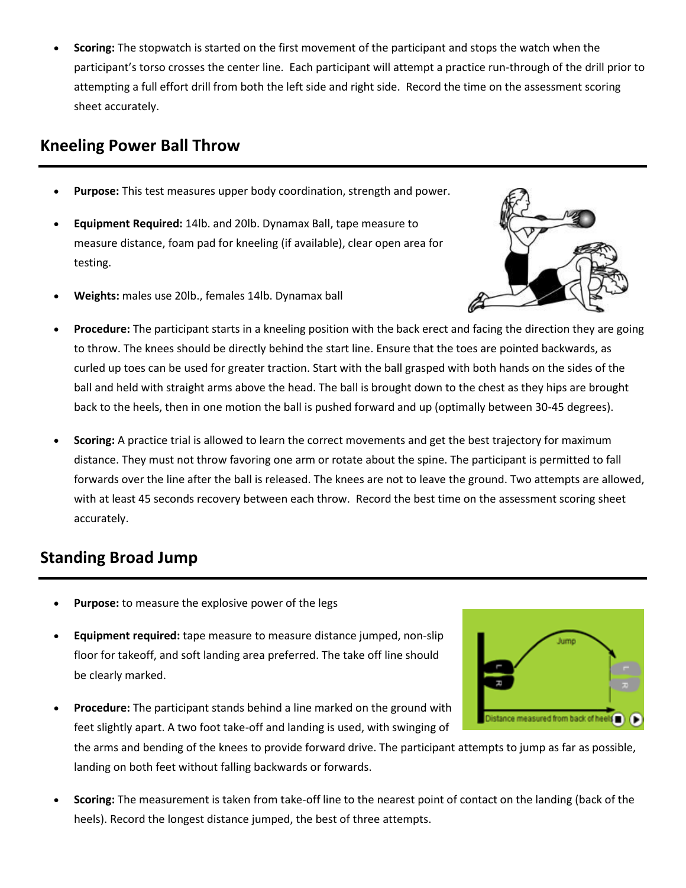**Scoring:** The stopwatch is started on the first movement of the participant and stops the watch when the participant's torso crosses the center line. Each participant will attempt a practice run-through of the drill prior to attempting a full effort drill from both the left side and right side. Record the time on the assessment scoring sheet accurately.

### **Kneeling Power Ball Throw**

- **Purpose:** This test measures upper body coordination, strength and power.
- **Equipment Required:** 14lb. and 20lb. Dynamax Ball, [tape measure](http://www.topendsports.com/resources/stores.htm?node=30&cat=Tape%20Measures) to measure distance, foam pad for kneeling (if available), clear open area for testing.
- **Weights:** males use 20lb., females 14lb. Dynamax ball



- **Procedure:** The participant starts in a kneeling position with the back erect and facing the direction they are going to throw. The knees should be directly behind the start line. Ensure that the toes are pointed backwards, as curled up toes can be used for greater traction. Start with the ball grasped with both hands on the sides of the ball and held with straight arms above the head. The ball is brought down to the chest as they hips are brought back to the heels, then in one motion the ball is pushed forward and up (optimally between 30-45 degrees).
- **Scoring:** A practice trial is allowed to learn the correct movements and get the best trajectory for maximum distance. They must not throw favoring one arm or rotate about the spine. The participant is permitted to fall forwards over the line after the ball is released. The knees are not to leave the ground. Two attempts are allowed, with at least 45 seconds recovery between each throw. Record the best time on the assessment scoring sheet accurately.

# **Standing Broad Jump**

- **Purpose:** to measure the explosive power of the legs
- **Equipment required:** [tape measure](http://www.topendsports.com/resources/stores.htm?node=30&cat=Tape%20Measures) to measure distance jumped, non-slip floor for takeoff, and soft landing area preferred. The take off line should be clearly marked.
- **Procedure:** The participant stands behind a line marked on the ground with stance measured from back of heels feet slightly apart. A two foot take-off and landing is used, with swinging of the arms and bending of the knees to provide forward drive. The participant attempts to jump as far as possible, landing on both feet without falling backwards or forwards.
- **Scoring:** The measurement is taken from take-off line to the nearest point of contact on the landing (back of the heels). Record the longest distance jumped, the best of three attempts.

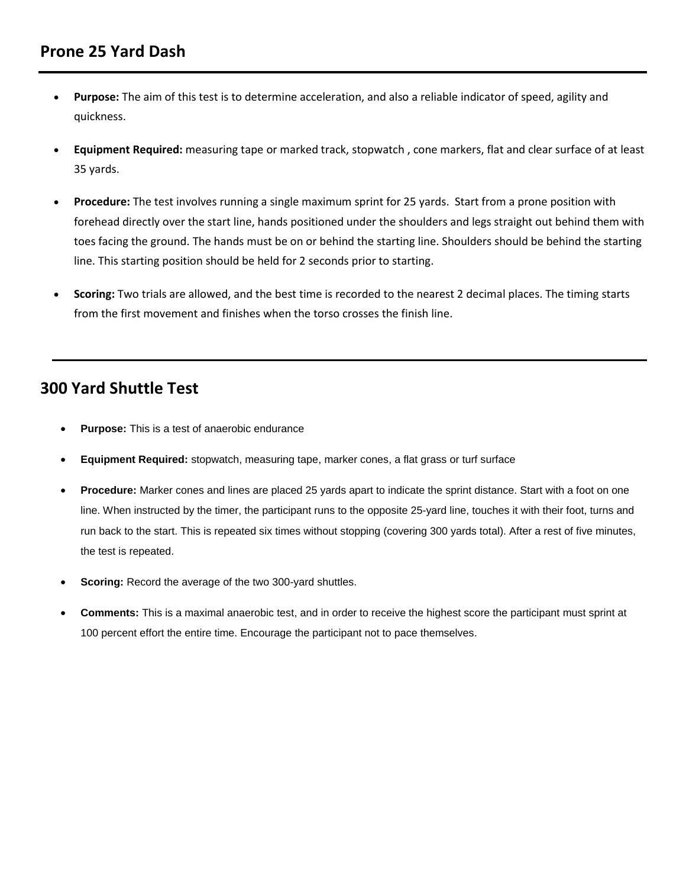- **Purpose:** The aim of this test is to determine acceleration, and also a reliable indicator of speed, agility and quickness.
- **Equipment Required:** [measuring tape](http://www.topendsports.com/resources/stores.htm?node=30&cat=Tape%20Measures) or marked track, [stopwatch](http://www.topendsports.com/resources/stores.htm?node=28&cat=Stopwatches) , [cone markers,](http://www.topendsports.com/resources/stores.htm?node=29&cat=Cones) flat and clear surface of at least 35 yards.
- **Procedure:** The test involves running a single maximum sprint for 25 yards. Start from a prone position with forehead directly over the start line, hands positioned under the shoulders and legs straight out behind them with toes facing the ground. The hands must be on or behind the starting line. Shoulders should be behind the starting line. This starting position should be held for 2 seconds prior to starting.
- **Scoring:** Two trials are allowed, and the best time is recorded to the nearest 2 decimal places. The timing starts from the first movement and finishes when the torso crosses the finish line.

# **300 Yard Shuttle Test**

- **Purpose:** This is a test of anaerobic endurance
- **Equipment Required:** [stopwatch,](http://www.topendsports.com/resources/stores.htm?node=28&cat=Stopwatches) [measuring tape,](http://www.topendsports.com/resources/stores.htm?node=30&cat=Tape%20Measures) [marker cones,](http://www.topendsports.com/resources/stores.htm?node=29&cat=Cones) a flat grass or turf surface
- **Procedure:** Marker cones and lines are placed 25 yards apart to indicate the sprint distance. Start with a foot on one line. When instructed by the timer, the participant runs to the opposite 25-yard line, touches it with their foot, turns and run back to the start. This is repeated six times without stopping (covering 300 yards total). After a rest of five minutes, the test is repeated.
- **Scoring:** Record the average of the two 300-yard shuttles.
- **Comments:** This is a maximal anaerobic test, and in order to receive the highest score the participant must sprint at 100 percent effort the entire time. Encourage the participant not to pace themselves.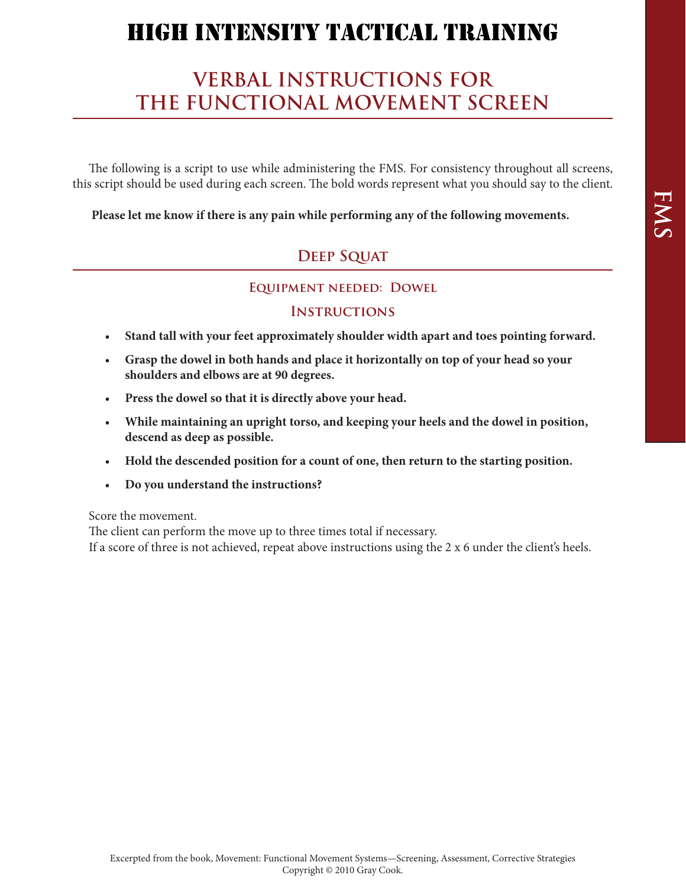# **VERBAL INSTRUCTIONS FOR THE FUNCTIONAL MOVEMENT SCREEN**

The following is a script to use while administering the FMS. For consistency throughout all screens, this script should be used during each screen. The bold words represent what you should say to the client.

**Please let me know if there is any pain while performing any of the following movements.**

### **Deep Squat**

#### **EQUIPMENT NEEDED: DOWEL**

#### **Instructions**

- • **Stand tall with your feet approximately shoulder width apart and toes pointing forward.**
- • **Grasp the dowel in both hands and place it horizontally on top of your head so your shoulders and elbows are at 90 degrees.**
- • **Press the dowel so that it is directly above your head.**
- • **While maintaining an upright torso, and keeping your heels and the dowel in position, descend as deep as possible.**
- • **Hold the descended position for a count of one, then return to the starting position.**
- • **Do you understand the instructions?**

Score the movement.

The client can perform the move up to three times total if necessary. If a score of three is not achieved, repeat above instructions using the 2 x 6 under the client's heels.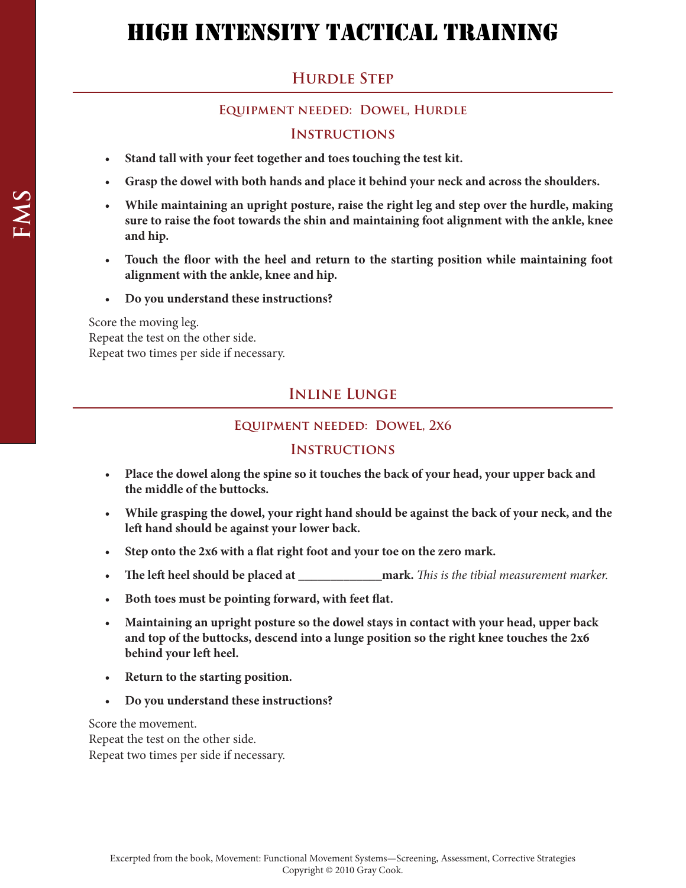# **HURDLE STEP**

#### **Equipment needed: Dowel, Hurdle**

#### **Instructions**

- • **Stand tall with your feet together and toes touching the test kit.**
- Grasp the dowel with both hands and place it behind your neck and across the shoulders.
- • **While maintaining an upright posture, raise the right leg and step over the hurdle, making sure to raise the foot towards the shin and maintaining foot alignment with the ankle, knee and hip.**
- • **Touch the floor with the heel and return to the starting position while maintaining foot alignment with the ankle, knee and hip.**
- • **Do you understand these instructions?**

Score the moving leg. Repeat the test on the other side. Repeat two times per side if necessary.

### **Inline Lunge**

#### **Equipment needed: Dowel, 2x6**

#### **Instructions**

- • **Place the dowel along the spine so it touches the back of your head, your upper back and the middle of the buttocks.**
- • **While grasping the dowel, your right hand should be against the back of your neck, and the left hand should be against your lower back.**
- • **Step onto the 2x6 with a flat right foot and your toe on the zero mark.**
- • **The left heel should be placed at \_\_\_\_\_\_\_\_\_\_\_\_\_mark.** *This is the tibial measurement marker.*
- • **Both toes must be pointing forward, with feet flat.**
- • **Maintaining an upright posture so the dowel stays in contact with your head, upper back and top of the buttocks, descend into a lunge position so the right knee touches the 2x6 behind your left heel.**
- Return to the starting position.
- • **Do you understand these instructions?**

Score the movement.

Repeat the test on the other side. Repeat two times per side if necessary.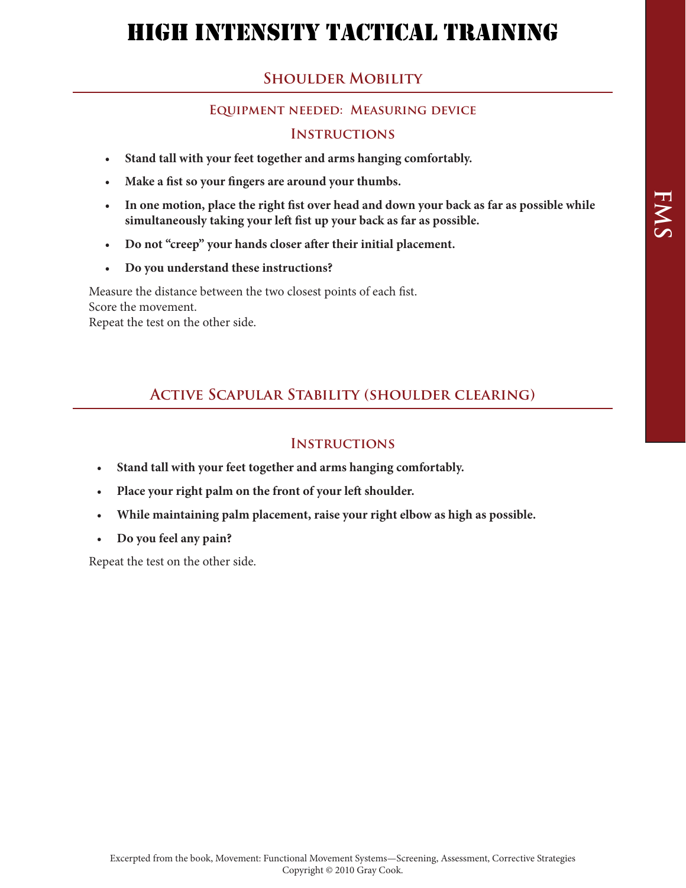## **Shoulder Mobility**

#### **Equipment needed: Measuring device**

#### **Instructions**

- • **Stand tall with your feet together and arms hanging comfortably.**
- • **Make a fist so your fingers are around your thumbs.**
- • **In one motion, place the right fist over head and down your back as far as possible while simultaneously taking your left fist up your back as far as possible.**
- • **Do not "creep" your hands closer after their initial placement.**
- • **Do you understand these instructions?**

Measure the distance between the two closest points of each fist. Score the movement.

Repeat the test on the other side.

# **Active Scapular Stability (shoulder clearing)**

#### **Instructions**

- • **Stand tall with your feet together and arms hanging comfortably.**
- Place your right palm on the front of your left shoulder.
- While maintaining palm placement, raise your right elbow as high as possible.
- • **Do you feel any pain?**

Repeat the test on the other side.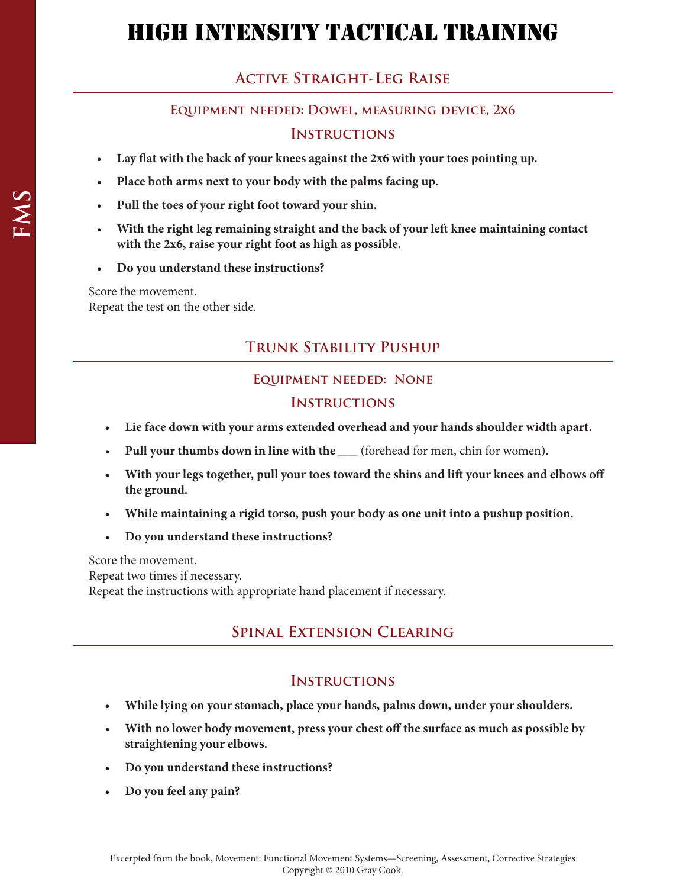# **Active Straight-Leg Raise**

#### **Equipment needed: Dowel, measuring device, 2x6**

#### **Instructions**

- Lay flat with the back of your knees against the 2x6 with your toes pointing up.
- Place both arms next to your body with the palms facing up.
- Pull the toes of your right foot toward your shin.
- With the right leg remaining straight and the back of your left knee maintaining contact **with the 2x6, raise your right foot as high as possible.**
- • **Do you understand these instructions?**

Score the movement. Repeat the test on the other side.

# **Trunk Stability Pushup**

#### **Equipment needed: None**

#### **Instructions**

- • **Lie face down with your arms extended overhead and your hands shoulder width apart.**
- **Pull your thumbs down in line with the \_\_\_** (forehead for men, chin for women).
- • **With your legs together, pull your toes toward the shins and lift your knees and elbows off the ground.**
- • **While maintaining a rigid torso, push your body as one unit into a pushup position.**
- • **Do you understand these instructions?**

Score the movement.

Repeat two times if necessary.

Repeat the instructions with appropriate hand placement if necessary.

### **Spinal Extension Clearing**

#### **Instructions**

- • **While lying on your stomach, place your hands, palms down, under your shoulders.**
- • **With no lower body movement, press your chest off the surface as much as possible by straightening your elbows.**
- • **Do you understand these instructions?**
- • **Do you feel any pain?**